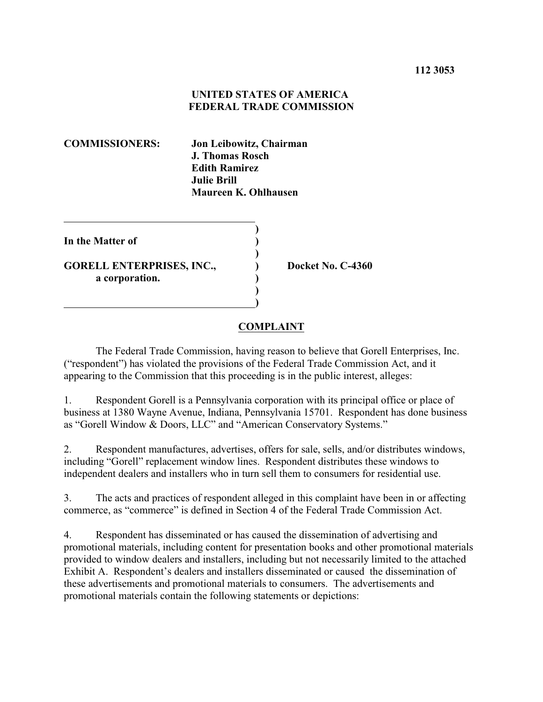## **UNITED STATES OF AMERICA FEDERAL TRADE COMMISSION**

**COMMISSIONERS: Jon Leibowitz, Chairman J. Thomas Rosch Edith Ramirez Julie Brill Maureen K. Ohlhausen**

| In the Matter of                                   |  |
|----------------------------------------------------|--|
| <b>GORELL ENTERPRISES, INC.,</b><br>a corporation. |  |
|                                                    |  |

**Docket No. C-4360** 

## **COMPLAINT**

The Federal Trade Commission, having reason to believe that Gorell Enterprises, Inc. ("respondent") has violated the provisions of the Federal Trade Commission Act, and it appearing to the Commission that this proceeding is in the public interest, alleges:

1. Respondent Gorell is a Pennsylvania corporation with its principal office or place of business at 1380 Wayne Avenue, Indiana, Pennsylvania 15701. Respondent has done business as "Gorell Window & Doors, LLC" and "American Conservatory Systems."

2. Respondent manufactures, advertises, offers for sale, sells, and/or distributes windows, including "Gorell" replacement window lines. Respondent distributes these windows to independent dealers and installers who in turn sell them to consumers for residential use.

3. The acts and practices of respondent alleged in this complaint have been in or affecting commerce, as "commerce" is defined in Section 4 of the Federal Trade Commission Act.

4. Respondent has disseminated or has caused the dissemination of advertising and promotional materials, including content for presentation books and other promotional materials provided to window dealers and installers, including but not necessarily limited to the attached Exhibit A. Respondent's dealers and installers disseminated or caused the dissemination of these advertisements and promotional materials to consumers. The advertisements and promotional materials contain the following statements or depictions: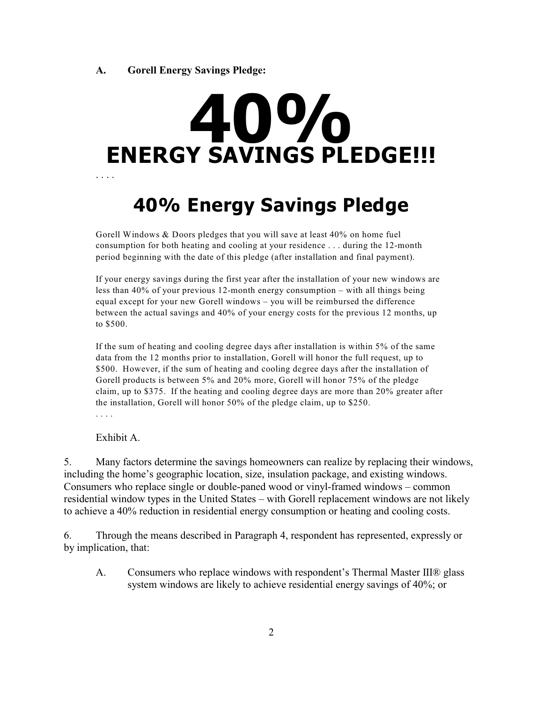## **ENERGY SAVINGS PLEDGE!!! 40%** . . . .

## **40% Energy Savings Pledge**

Gorell Windows & Doors pledges that you will save at least 40% on home fuel consumption for both heating and cooling at your residence . . . during the 12-month period beginning with the date of this pledge (after installation and final payment).

If your energy savings during the first year after the installation of your new windows are less than 40% of your previous 12-month energy consumption – with all things being equal except for your new Gorell windows – you will be reimbursed the difference between the actual savings and 40% of your energy costs for the previous 12 months, up to \$500.

If the sum of heating and cooling degree days after installation is within 5% of the same data from the 12 months prior to installation, Gorell will honor the full request, up to \$500. However, if the sum of heating and cooling degree days after the installation of Gorell products is between 5% and 20% more, Gorell will honor 75% of the pledge claim, up to \$375. If the heating and cooling degree days are more than 20% greater after the installation, Gorell will honor 50% of the pledge claim, up to \$250. . . . .

Exhibit A.

5. Many factors determine the savings homeowners can realize by replacing their windows, including the home's geographic location, size, insulation package, and existing windows. Consumers who replace single or double-paned wood or vinyl-framed windows – common residential window types in the United States – with Gorell replacement windows are not likely to achieve a 40% reduction in residential energy consumption or heating and cooling costs.

6. Through the means described in Paragraph 4, respondent has represented, expressly or by implication, that:

A. Consumers who replace windows with respondent's Thermal Master III® glass system windows are likely to achieve residential energy savings of 40%; or